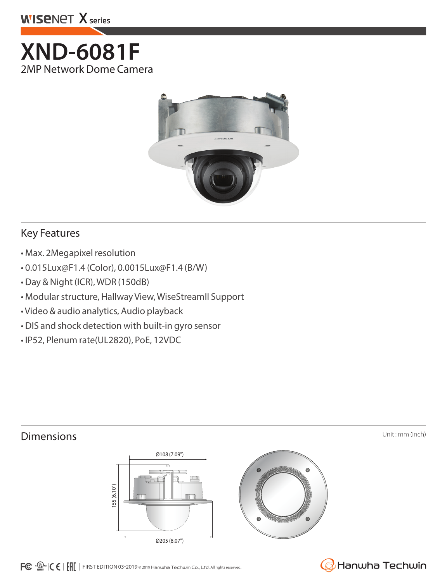

# **XND-6081F** 2MP Network Dome Camera



### Key Features

- Max. 2Megapixel resolution
- 0.015Lux@F1.4 (Color), 0.0015Lux@F1.4 (B/W)
- Day & Night (ICR), WDR (150dB)
- Modular structure, Hallway View, WiseStreamII Support
- Video & audio analytics, Audio playback
- DIS and shock detection with built-in gyro sensor
- IP52, Plenum rate(UL2820), PoE, 12VDC

## **Dimensions** Unit : mm (inch)





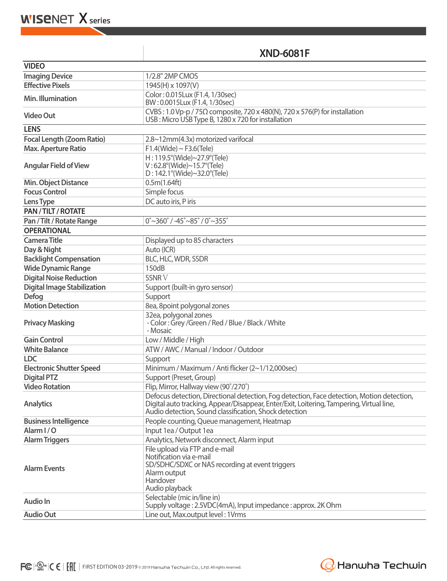**WISENET X** series

## **XND-6081F**

| <b>VIDEO</b>                       |                                                                                                                                                                                                                                                  |  |
|------------------------------------|--------------------------------------------------------------------------------------------------------------------------------------------------------------------------------------------------------------------------------------------------|--|
| <b>Imaging Device</b>              | 1/2.8" 2MP CMOS                                                                                                                                                                                                                                  |  |
| <b>Effective Pixels</b>            | 1945(H) x 1097(V)                                                                                                                                                                                                                                |  |
| Min. Illumination                  | Color: 0.015Lux (F1.4, 1/30sec)<br>BW: 0.0015Lux (F1.4, 1/30sec)                                                                                                                                                                                 |  |
| <b>Video Out</b>                   | CVBS: 1.0 Vp-p / 75 $\Omega$ composite, 720 x 480(N), 720 x 576(P) for installation<br>USB: Micro USB Type B, 1280 x 720 for installation                                                                                                        |  |
| <b>LENS</b>                        |                                                                                                                                                                                                                                                  |  |
| <b>Focal Length (Zoom Ratio)</b>   | 2.8~12mm(4.3x) motorized varifocal                                                                                                                                                                                                               |  |
| <b>Max. Aperture Ratio</b>         | $F1.4$ (Wide) ~ $F3.6$ (Tele)                                                                                                                                                                                                                    |  |
| <b>Angular Field of View</b>       | H: 119.5°(Wide)~27.9°(Tele)<br>$V: 62.8^{\circ}$ (Wide)~15.7°(Tele)<br>$D: 142.1^{\circ}$ (Wide)~32.0°(Tele)                                                                                                                                     |  |
| Min. Object Distance               | 0.5m(1.64ft)                                                                                                                                                                                                                                     |  |
| <b>Focus Control</b>               | Simple focus                                                                                                                                                                                                                                     |  |
| Lens Type                          | DC auto iris, P iris                                                                                                                                                                                                                             |  |
| PAN / TILT / ROTATE                |                                                                                                                                                                                                                                                  |  |
| Pan / Tilt / Rotate Range          | $0^{\circ}$ ~360 $^{\circ}$ / -45 $^{\circ}$ ~85 $^{\circ}$ / 0 $^{\circ}$ ~355 $^{\circ}$                                                                                                                                                       |  |
| <b>OPERATIONAL</b>                 |                                                                                                                                                                                                                                                  |  |
| <b>Camera Title</b>                | Displayed up to 85 characters                                                                                                                                                                                                                    |  |
| Day & Night                        | Auto (ICR)                                                                                                                                                                                                                                       |  |
| <b>Backlight Compensation</b>      | BLC, HLC, WDR, SSDR                                                                                                                                                                                                                              |  |
| <b>Wide Dynamic Range</b>          | 150dB                                                                                                                                                                                                                                            |  |
| <b>Digital Noise Reduction</b>     | <b>SSNRV</b>                                                                                                                                                                                                                                     |  |
| <b>Digital Image Stabilization</b> | Support (built-in gyro sensor)                                                                                                                                                                                                                   |  |
| <b>Defog</b>                       | Support                                                                                                                                                                                                                                          |  |
| <b>Motion Detection</b>            | 8ea, 8point polygonal zones                                                                                                                                                                                                                      |  |
| <b>Privacy Masking</b>             | 32ea, polygonal zones<br>- Color: Grey / Green / Red / Blue / Black / White<br>- Mosaic                                                                                                                                                          |  |
| <b>Gain Control</b>                | Low / Middle / High                                                                                                                                                                                                                              |  |
| <b>White Balance</b>               | ATW / AWC / Manual / Indoor / Outdoor                                                                                                                                                                                                            |  |
| <b>LDC</b>                         | Support                                                                                                                                                                                                                                          |  |
| <b>Electronic Shutter Speed</b>    | Minimum / Maximum / Anti flicker (2~1/12,000sec)                                                                                                                                                                                                 |  |
| <b>Digital PTZ</b>                 | Support (Preset, Group)                                                                                                                                                                                                                          |  |
| <b>Video Rotation</b>              | Flip, Mirror, Hallway view (90°/270°)                                                                                                                                                                                                            |  |
| <b>Analytics</b>                   | Defocus detection, Directional detection, Fog detection, Face detection, Motion detection,<br>Digital auto tracking, Appear/Disappear, Enter/Exit, Loitering, Tampering, Virtual line,<br>Audio detection, Sound classification, Shock detection |  |
| <b>Business Intelligence</b>       | People counting, Queue management, Heatmap                                                                                                                                                                                                       |  |
| Alarm I/O                          | Input 1ea / Output 1ea                                                                                                                                                                                                                           |  |
| <b>Alarm Triggers</b>              | Analytics, Network disconnect, Alarm input                                                                                                                                                                                                       |  |
| <b>Alarm Events</b>                | File upload via FTP and e-mail<br>Notification via e-mail<br>SD/SDHC/SDXC or NAS recording at event triggers<br>Alarm output<br>Handover<br>Audio playback                                                                                       |  |
| Audio In                           | Selectable (mic in/line in)<br>Supply voltage: 2.5VDC(4mA), Input impedance: approx. 2K Ohm                                                                                                                                                      |  |
| <b>Audio Out</b>                   | Line out, Max.output level: 1Vrms                                                                                                                                                                                                                |  |
|                                    |                                                                                                                                                                                                                                                  |  |